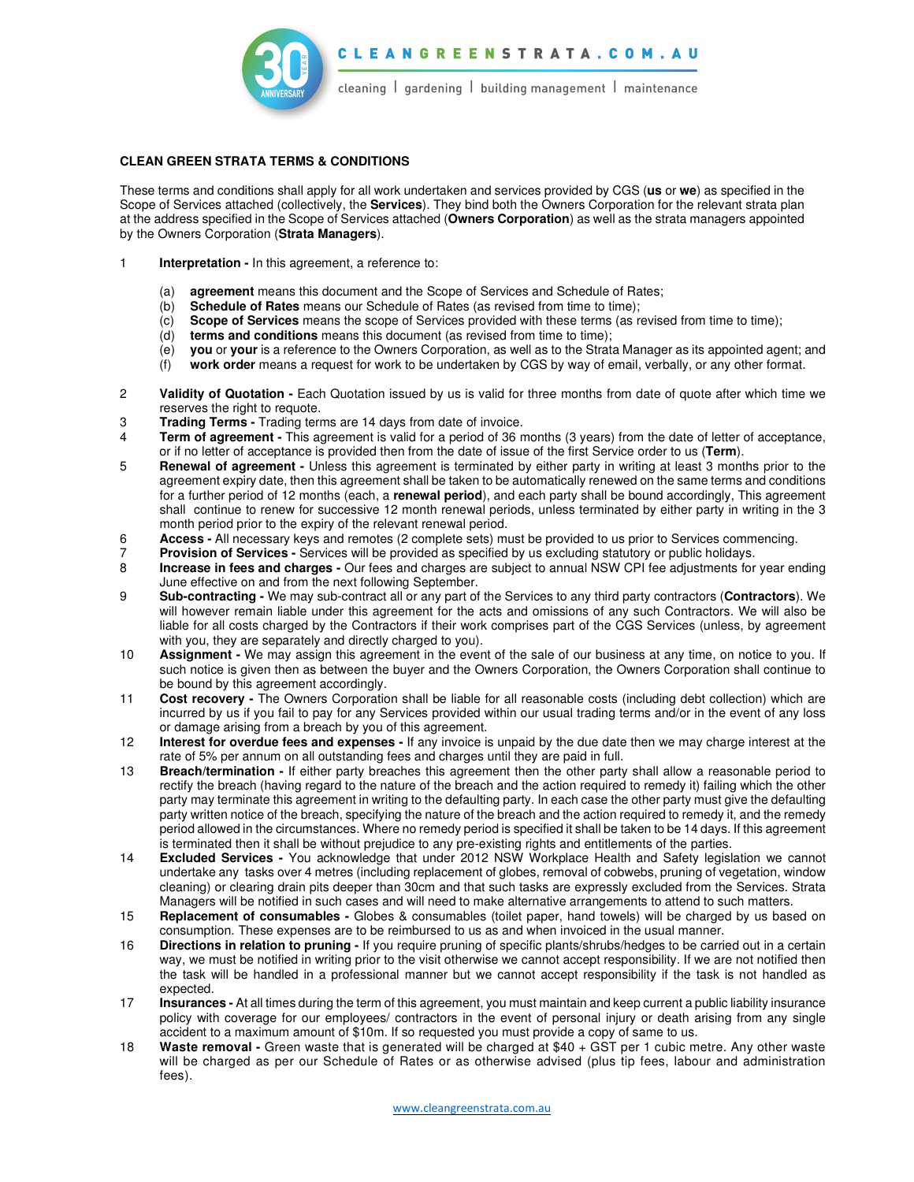

## **CLEAN GREEN STRATA TERMS & CONDITIONS**

These terms and conditions shall apply for all work undertaken and services provided by CGS (**us** or **we**) as specified in the Scope of Services attached (collectively, the **Services**). They bind both the Owners Corporation for the relevant strata plan at the address specified in the Scope of Services attached (**Owners Corporation**) as well as the strata managers appointed by the Owners Corporation (**Strata Managers**).

- 1 **Interpretation** In this agreement, a reference to:
	- (a) **agreement** means this document and the Scope of Services and Schedule of Rates;
	- (b) **Schedule of Rates** means our Schedule of Rates (as revised from time to time);
	- (c) **Scope of Services** means the scope of Services provided with these terms (as revised from time to time);
	- (d) **terms and conditions** means this document (as revised from time to time);
	- (e) **you** or **your** is a reference to the Owners Corporation, as well as to the Strata Manager as its appointed agent; and
	- (f) **work order** means a request for work to be undertaken by CGS by way of email, verbally, or any other format.
- 2 **Validity of Quotation** Each Quotation issued by us is valid for three months from date of quote after which time we reserves the right to requote.
- 3 **Trading Terms** Trading terms are 14 days from date of invoice.
- 4 **Term of agreement** This agreement is valid for a period of 36 months (3 years) from the date of letter of acceptance, or if no letter of acceptance is provided then from the date of issue of the first Service order to us (**Term**).
- 5 **Renewal of agreement** Unless this agreement is terminated by either party in writing at least 3 months prior to the agreement expiry date, then this agreement shall be taken to be automatically renewed on the same terms and conditions for a further period of 12 months (each, a **renewal period**), and each party shall be bound accordingly, This agreement shall continue to renew for successive 12 month renewal periods, unless terminated by either party in writing in the 3 month period prior to the expiry of the relevant renewal period.
- 6 **Access** All necessary keys and remotes (2 complete sets) must be provided to us prior to Services commencing.
- 7 **Provision of Services** Services will be provided as specified by us excluding statutory or public holidays.
- 8 **Increase in fees and charges** Our fees and charges are subject to annual NSW CPI fee adjustments for year ending June effective on and from the next following September.
- 9 **Sub-contracting** We may sub-contract all or any part of the Services to any third party contractors (**Contractors**). We will however remain liable under this agreement for the acts and omissions of any such Contractors. We will also be liable for all costs charged by the Contractors if their work comprises part of the CGS Services (unless, by agreement with you, they are separately and directly charged to you).
- 10 **Assignment** We may assign this agreement in the event of the sale of our business at any time, on notice to you. If such notice is given then as between the buyer and the Owners Corporation, the Owners Corporation shall continue to be bound by this agreement accordingly.
- 11 **Cost recovery** The Owners Corporation shall be liable for all reasonable costs (including debt collection) which are incurred by us if you fail to pay for any Services provided within our usual trading terms and/or in the event of any loss or damage arising from a breach by you of this agreement.
- 12 **Interest for overdue fees and expenses** If any invoice is unpaid by the due date then we may charge interest at the rate of 5% per annum on all outstanding fees and charges until they are paid in full.
- 13 **Breach/termination** If either party breaches this agreement then the other party shall allow a reasonable period to rectify the breach (having regard to the nature of the breach and the action required to remedy it) failing which the other party may terminate this agreement in writing to the defaulting party. In each case the other party must give the defaulting party written notice of the breach, specifying the nature of the breach and the action required to remedy it, and the remedy period allowed in the circumstances. Where no remedy period is specified it shall be taken to be 14 days. If this agreement is terminated then it shall be without prejudice to any pre-existing rights and entitlements of the parties.
- 14 **Excluded Services** You acknowledge that under 2012 NSW Workplace Health and Safety legislation we cannot undertake any tasks over 4 metres (including replacement of globes, removal of cobwebs, pruning of vegetation, window cleaning) or clearing drain pits deeper than 30cm and that such tasks are expressly excluded from the Services. Strata Managers will be notified in such cases and will need to make alternative arrangements to attend to such matters.
- 15 **Replacement of consumables** Globes & consumables (toilet paper, hand towels) will be charged by us based on consumption. These expenses are to be reimbursed to us as and when invoiced in the usual manner.
- 16 **Directions in relation to pruning** If you require pruning of specific plants/shrubs/hedges to be carried out in a certain way, we must be notified in writing prior to the visit otherwise we cannot accept responsibility. If we are not notified then the task will be handled in a professional manner but we cannot accept responsibility if the task is not handled as expected.
- 17 **Insurances** At all times during the term of this agreement, you must maintain and keep current a public liability insurance policy with coverage for our employees/ contractors in the event of personal injury or death arising from any single accident to a maximum amount of \$10m. If so requested you must provide a copy of same to us.
- 18 **Waste removal** Green waste that is generated will be charged at \$40 + GST per 1 cubic metre. Any other waste will be charged as per our Schedule of Rates or as otherwise advised (plus tip fees, labour and administration fees).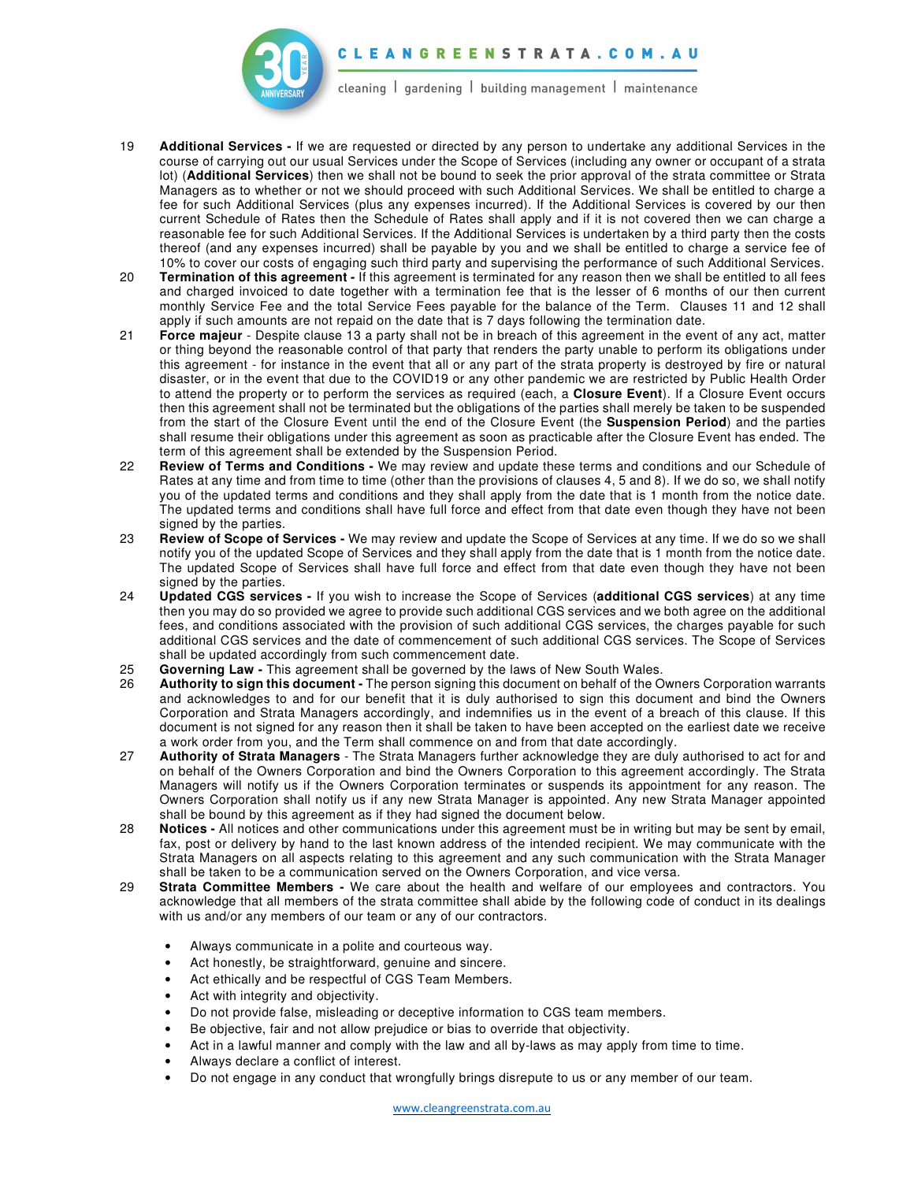

C L E A N G R E E N S T R A T A . C O M . A U

cleaning I gardening I building management I maintenance

- 19 **Additional Services** If we are requested or directed by any person to undertake any additional Services in the course of carrying out our usual Services under the Scope of Services (including any owner or occupant of a strata lot) (**Additional Services**) then we shall not be bound to seek the prior approval of the strata committee or Strata Managers as to whether or not we should proceed with such Additional Services. We shall be entitled to charge a fee for such Additional Services (plus any expenses incurred). If the Additional Services is covered by our then current Schedule of Rates then the Schedule of Rates shall apply and if it is not covered then we can charge a reasonable fee for such Additional Services. If the Additional Services is undertaken by a third party then the costs thereof (and any expenses incurred) shall be payable by you and we shall be entitled to charge a service fee of 10% to cover our costs of engaging such third party and supervising the performance of such Additional Services.
- 20 **Termination of this agreement** If this agreement is terminated for any reason then we shall be entitled to all fees and charged invoiced to date together with a termination fee that is the lesser of 6 months of our then current monthly Service Fee and the total Service Fees payable for the balance of the Term. Clauses 11 and 12 shall apply if such amounts are not repaid on the date that is 7 days following the termination date.
- 21 **Force majeur**  Despite clause 13 a party shall not be in breach of this agreement in the event of any act, matter or thing beyond the reasonable control of that party that renders the party unable to perform its obligations under this agreement - for instance in the event that all or any part of the strata property is destroyed by fire or natural disaster, or in the event that due to the COVID19 or any other pandemic we are restricted by Public Health Order to attend the property or to perform the services as required (each, a **Closure Event**). If a Closure Event occurs then this agreement shall not be terminated but the obligations of the parties shall merely be taken to be suspended from the start of the Closure Event until the end of the Closure Event (the **Suspension Period**) and the parties shall resume their obligations under this agreement as soon as practicable after the Closure Event has ended. The term of this agreement shall be extended by the Suspension Period.
- 22 **Review of Terms and Conditions** We may review and update these terms and conditions and our Schedule of Rates at any time and from time to time (other than the provisions of clauses 4, 5 and 8). If we do so, we shall notify you of the updated terms and conditions and they shall apply from the date that is 1 month from the notice date. The updated terms and conditions shall have full force and effect from that date even though they have not been signed by the parties.
- 23 **Review of Scope of Services** We may review and update the Scope of Services at any time. If we do so we shall notify you of the updated Scope of Services and they shall apply from the date that is 1 month from the notice date. The updated Scope of Services shall have full force and effect from that date even though they have not been signed by the parties.
- 24 **Updated CGS services -** If you wish to increase the Scope of Services (**additional CGS services**) at any time then you may do so provided we agree to provide such additional CGS services and we both agree on the additional fees, and conditions associated with the provision of such additional CGS services, the charges payable for such additional CGS services and the date of commencement of such additional CGS services. The Scope of Services shall be updated accordingly from such commencement date.
- 25 **Governing Law** This agreement shall be governed by the laws of New South Wales.
- 26 **Authority to sign this document** The person signing this document on behalf of the Owners Corporation warrants and acknowledges to and for our benefit that it is duly authorised to sign this document and bind the Owners Corporation and Strata Managers accordingly, and indemnifies us in the event of a breach of this clause. If this document is not signed for any reason then it shall be taken to have been accepted on the earliest date we receive a work order from you, and the Term shall commence on and from that date accordingly.
- 27 **Authority of Strata Managers** The Strata Managers further acknowledge they are duly authorised to act for and on behalf of the Owners Corporation and bind the Owners Corporation to this agreement accordingly. The Strata Managers will notify us if the Owners Corporation terminates or suspends its appointment for any reason. The Owners Corporation shall notify us if any new Strata Manager is appointed. Any new Strata Manager appointed shall be bound by this agreement as if they had signed the document below.
- 28 **Notices** All notices and other communications under this agreement must be in writing but may be sent by email, fax, post or delivery by hand to the last known address of the intended recipient. We may communicate with the Strata Managers on all aspects relating to this agreement and any such communication with the Strata Manager shall be taken to be a communication served on the Owners Corporation, and vice versa.
- 29 **Strata Committee Members** We care about the health and welfare of our employees and contractors. You acknowledge that all members of the strata committee shall abide by the following code of conduct in its dealings with us and/or any members of our team or any of our contractors.
	- Always communicate in a polite and courteous way.
	- Act honestly, be straightforward, genuine and sincere.
	- Act ethically and be respectful of CGS Team Members.
	- Act with integrity and objectivity.
	- Do not provide false, misleading or deceptive information to CGS team members.
	- Be objective, fair and not allow prejudice or bias to override that objectivity.
	- Act in a lawful manner and comply with the law and all by-laws as may apply from time to time.
	- Always declare a conflict of interest.
	- Do not engage in any conduct that wrongfully brings disrepute to us or any member of our team.